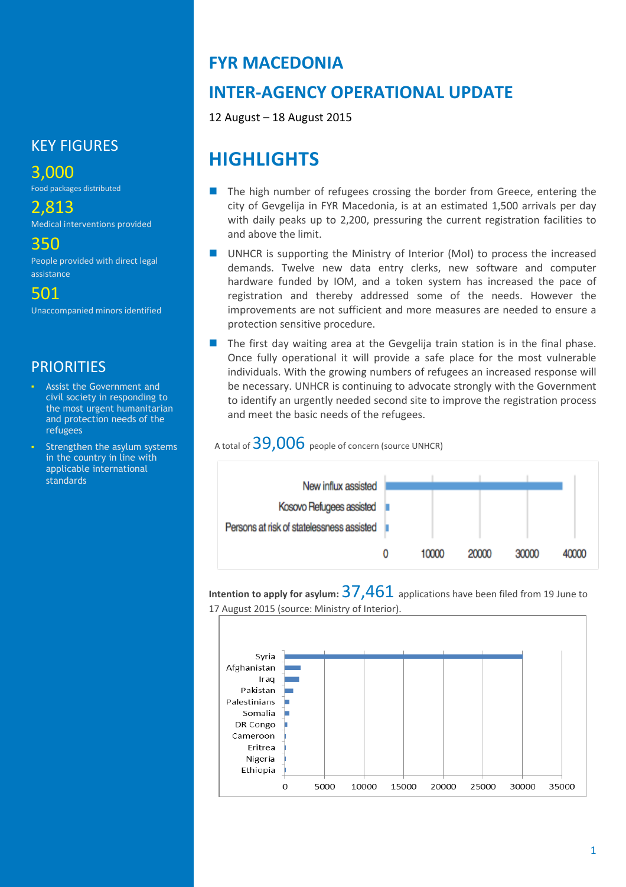### KEY FIGURES

3,000

Food packages distributed

2,813 Medical interventions provided

350

People provided with direct legal assistance

501 Unaccompanied minors identified

### **PRIORITIES**

- Assist the Government and civil society in responding to the most urgent humanitarian and protection needs of the refugees
- Strengthen the asylum systems in the country in line with applicable international standards

### **FYR MACEDONIA**

# **INTER-AGENCY OPERATIONAL UPDATE**

12 August – 18 August 2015

# **HIGHLIGHTS**

- The high number of refugees crossing the border from Greece, entering the city of Gevgelija in FYR Macedonia, is at an estimated 1,500 arrivals per day with daily peaks up to 2,200, pressuring the current registration facilities to and above the limit.
- UNHCR is supporting the Ministry of Interior (MoI) to process the increased demands. Twelve new data entry clerks, new software and computer hardware funded by IOM, and a token system has increased the pace of registration and thereby addressed some of the needs. However the improvements are not sufficient and more measures are needed to ensure a protection sensitive procedure.
- $\blacksquare$  The first day waiting area at the Gevgelija train station is in the final phase. Once fully operational it will provide a safe place for the most vulnerable individuals. With the growing numbers of refugees an increased response will be necessary. UNHCR is continuing to advocate strongly with the Government to identify an urgently needed second site to improve the registration process and meet the basic needs of the refugees.

A total of  $39,006$  people of concern (source UNHCR)



**Intention to apply for asylum:** 37,461 applications have been filed from <sup>19</sup> June to 17 August 2015 (source: Ministry of Interior).

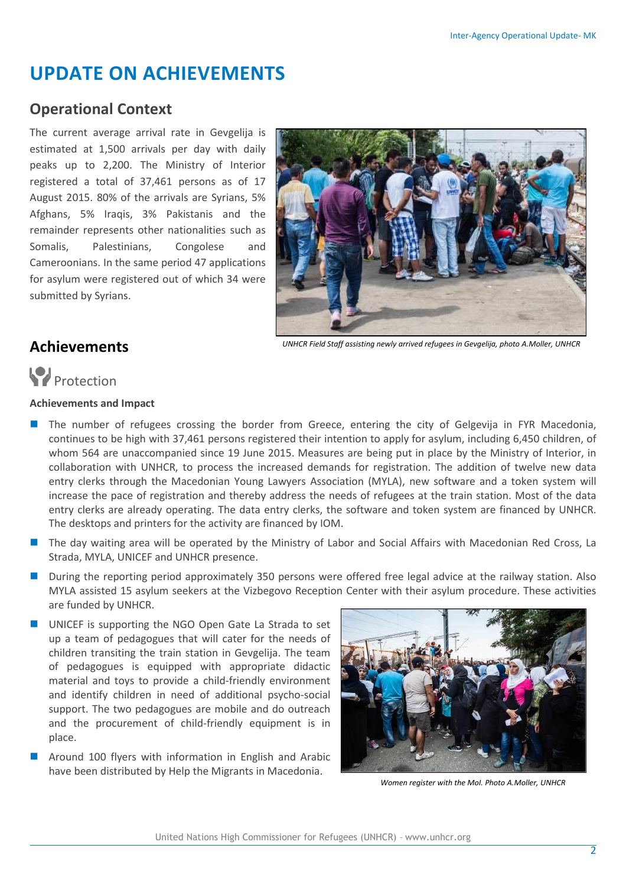# **UPDATE ON ACHIEVEMENTS**

### **Operational Context**

The current average arrival rate in Gevgelija is estimated at 1,500 arrivals per day with daily peaks up to 2,200. The Ministry of Interior registered a total of 37,461 persons as of 17 August 2015. 80% of the arrivals are Syrians, 5% Afghans, 5% Iraqis, 3% Pakistanis and the remainder represents other nationalities such as Somalis, Palestinians, Congolese and Cameroonians. In the same period 47 applications for asylum were registered out of which 34 were submitted by Syrians.



*UNHCR Field Staff assisting newly arrived refugees in Gevgelija, photo A.Moller, UNHCR*

### **Achievements**

# **Protection**

#### **Achievements and Impact**

- **The number of refugees crossing the border from Greece, entering the city of Gelgevija in FYR Macedonia,** continues to be high with 37,461 persons registered their intention to apply for asylum, including 6,450 children, of whom 564 are unaccompanied since 19 June 2015. Measures are being put in place by the Ministry of Interior, in collaboration with UNHCR, to process the increased demands for registration. The addition of twelve new data entry clerks through the Macedonian Young Lawyers Association (MYLA), new software and a token system will increase the pace of registration and thereby address the needs of refugees at the train station. Most of the data entry clerks are already operating. The data entry clerks, the software and token system are financed by UNHCR. The desktops and printers for the activity are financed by IOM.
- **The day waiting area will be operated by the Ministry of Labor and Social Affairs with Macedonian Red Cross, La** Strada, MYLA, UNICEF and UNHCR presence.
- During the reporting period approximately 350 persons were offered free legal advice at the railway station. Also MYLA assisted 15 asylum seekers at the Vizbegovo Reception Center with their asylum procedure. These activities are funded by UNHCR.
- UNICEF is supporting the NGO Open Gate La Strada to set up a team of pedagogues that will cater for the needs of children transiting the train station in Gevgelija. The team of pedagogues is equipped with appropriate didactic material and toys to provide a child-friendly environment and identify children in need of additional psycho-social support. The two pedagogues are mobile and do outreach and the procurement of child-friendly equipment is in place.
- Around 100 flyers with information in English and Arabic have been distributed by Help the Migrants in Macedonia.



*Women register with the MoI. Photo A.Moller, UNHCR*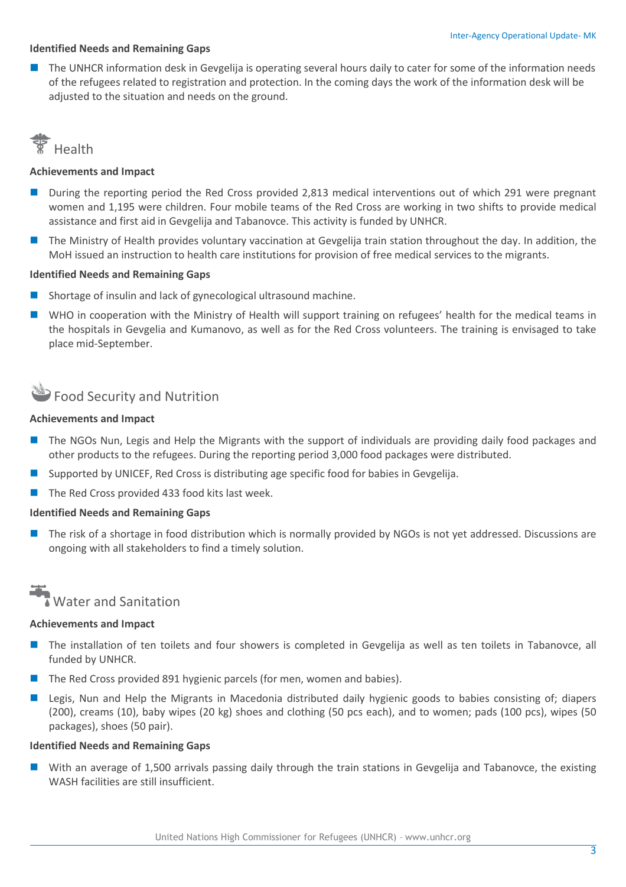#### **Identified Needs and Remaining Gaps**

 The UNHCR information desk in Gevgelija is operating several hours daily to cater for some of the information needs of the refugees related to registration and protection. In the coming days the work of the information desk will be adjusted to the situation and needs on the ground.



#### **Achievements and Impact**

- During the reporting period the Red Cross provided 2,813 medical interventions out of which 291 were pregnant women and 1,195 were children. Four mobile teams of the Red Cross are working in two shifts to provide medical assistance and first aid in Gevgelija and Tabanovce. This activity is funded by UNHCR.
- The Ministry of Health provides voluntary vaccination at Gevgelija train station throughout the day. In addition, the MoH issued an instruction to health care institutions for provision of free medical services to the migrants.

#### **Identified Needs and Remaining Gaps**

- Shortage of insulin and lack of gynecological ultrasound machine.
- WHO in cooperation with the Ministry of Health will support training on refugees' health for the medical teams in the hospitals in Gevgelia and Kumanovo, as well as for the Red Cross volunteers. The training is envisaged to take place mid-September.

# Food Security and Nutrition

#### **Achievements and Impact**

- The NGOs Nun, Legis and Help the Migrants with the support of individuals are providing daily food packages and other products to the refugees. During the reporting period 3,000 food packages were distributed.
- Supported by UNICEF, Red Cross is distributing age specific food for babies in Gevgelija.
- The Red Cross provided 433 food kits last week.

#### **Identified Needs and Remaining Gaps**

 The risk of a shortage in food distribution which is normally provided by NGOs is not yet addressed. Discussions are ongoing with all stakeholders to find a timely solution.



#### **Achievements and Impact**

- **The installation of ten toilets and four showers is completed in Gevgelija as well as ten toilets in Tabanovce, all** funded by UNHCR.
- The Red Cross provided 891 hygienic parcels (for men, women and babies).
- Legis, Nun and Help the Migrants in Macedonia distributed daily hygienic goods to babies consisting of; diapers (200), creams (10), baby wipes (20 kg) shoes and clothing (50 pcs each), and to women; pads (100 pcs), wipes (50 packages), shoes (50 pair).

#### **Identified Needs and Remaining Gaps**

 With an average of 1,500 arrivals passing daily through the train stations in Gevgelija and Tabanovce, the existing WASH facilities are still insufficient.